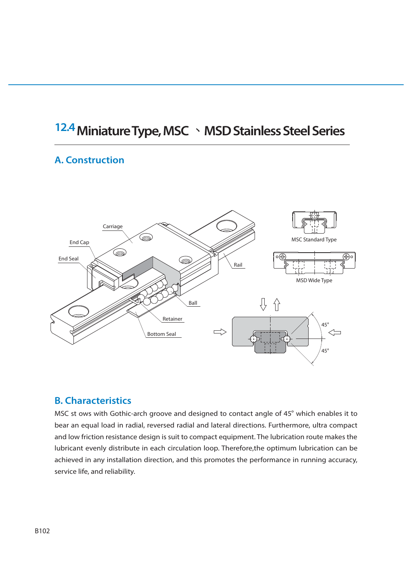# **12.4 Miniature Type, MSC ȮMSD Stainless Steel Series**

#### **A. Construction**



#### **B. Characteristics**

MSC st ows with Gothic-arch groove and designed to contact angle of 45° which enables it to bear an equal load in radial, reversed radial and lateral directions. Furthermore, ultra compact and low friction resistance design is suit to compact equipment. The lubrication route makes the lubricant evenly distribute in each circulation loop. Therefore,the optimum lubrication can be achieved in any installation direction, and this promotes the performance in running accuracy, service life, and reliability.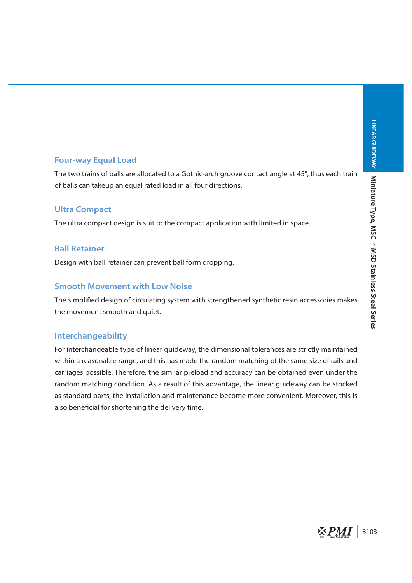#### **Four-way Equal Load**

The two trains of balls are allocated to a Gothic-arch groove contact angle at 45°, thus each train of balls can takeup an equal rated load in all four directions.

#### **Ultra Compact**

The ultra compact design is suit to the compact application with limited in space.

#### **Ball Retainer**

Design with ball retainer can prevent ball form dropping.

#### **Smooth Movement with Low Noise**

The simplifed design of circulating system with strengthened synthetic resin accessories makes the movement smooth and quiet.

#### **Interchangeability**

For interchangeable type of linear guideway, the dimensional tolerances are strictly maintained within a reasonable range, and this has made the random matching of the same size of rails and carriages possible. Therefore, the similar preload and accuracy can be obtained even under the random matching condition. As a result of this advantage, the linear guideway can be stocked as standard parts, the installation and maintenance become more convenient. Moreover, this is also benefcial for shortening the delivery time.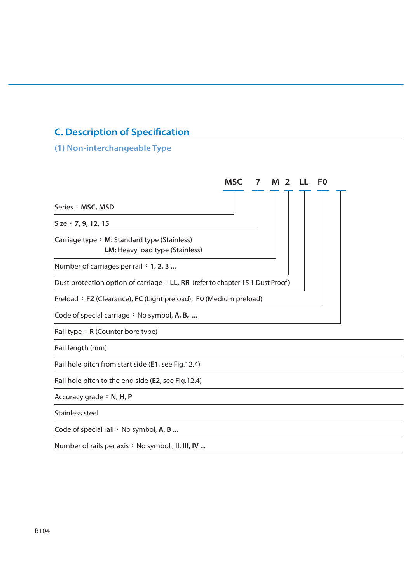# **C. Description of Specifcation**

# **(1) Non-interchangeable Type**

|                                                                                | <b>MSC</b> | $\overline{2}$ | F <sub>0</sub> |  |
|--------------------------------------------------------------------------------|------------|----------------|----------------|--|
| Series: MSC, MSD                                                               |            |                |                |  |
| Size: 7, 9, 12, 15                                                             |            |                |                |  |
| Carriage type: M: Standard type (Stainless)<br>LM: Heavy load type (Stainless) |            |                |                |  |
| Number of carriages per rail : 1, 2, 3                                         |            |                |                |  |
| Dust protection option of carriage : LL, RR (refer to chapter 15.1 Dust Proof) |            |                |                |  |
| Preload: FZ (Clearance), FC (Light preload), F0 (Medium preload)               |            |                |                |  |
| Code of special carriage : No symbol, A, B,                                    |            |                |                |  |
| Rail type: R (Counter bore type)                                               |            |                |                |  |
| Rail length (mm)                                                               |            |                |                |  |
| Rail hole pitch from start side (E1, see Fig.12.4)                             |            |                |                |  |
| Rail hole pitch to the end side (E2, see Fig.12.4)                             |            |                |                |  |
| Accuracy grade: N, H, P                                                        |            |                |                |  |
| Stainless steel                                                                |            |                |                |  |
| Code of special rail : No symbol, A, B                                         |            |                |                |  |
| Number of rails per axis : No symbol, II, III, IV                              |            |                |                |  |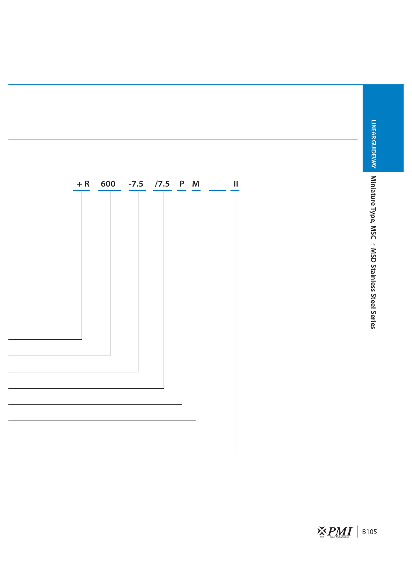

 $\sum_{\text{par}}$   $\sum_{\text{Linear Meas } 5 \text{mean}}$  | B105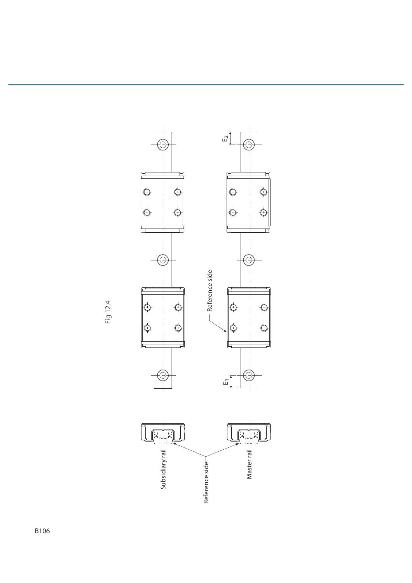

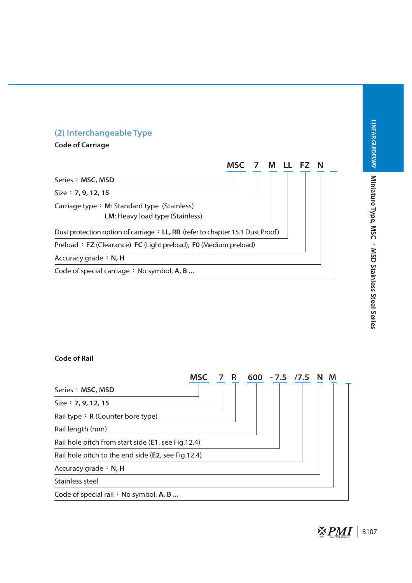

# LINEAR GUIDEWAY Miniature Type, MSC < MSD Stainless Steel Series **Miniature Type, MSC 㜮MSD Stainless Steel Series**

#### **Code of Rail**

|                                                    | <b>MSC</b> | 7 R | 600 | $-7.5$ /7.5 N | M |  |
|----------------------------------------------------|------------|-----|-----|---------------|---|--|
| Series: MSC, MSD                                   |            |     |     |               |   |  |
| Size $: 7, 9, 12, 15$                              |            |     |     |               |   |  |
| Rail type : $R$ (Counter bore type)                |            |     |     |               |   |  |
| Rail length (mm)                                   |            |     |     |               |   |  |
| Rail hole pitch from start side (E1, see Fig.12.4) |            |     |     |               |   |  |
| Rail hole pitch to the end side (E2, see Fig.12.4) |            |     |     |               |   |  |
| Accuracy grade $\div$ N, H                         |            |     |     |               |   |  |
| Stainless steel                                    |            |     |     |               |   |  |
| Code of special rail : No symbol, A, B             |            |     |     |               |   |  |

**LINEAR GUIDEWAY**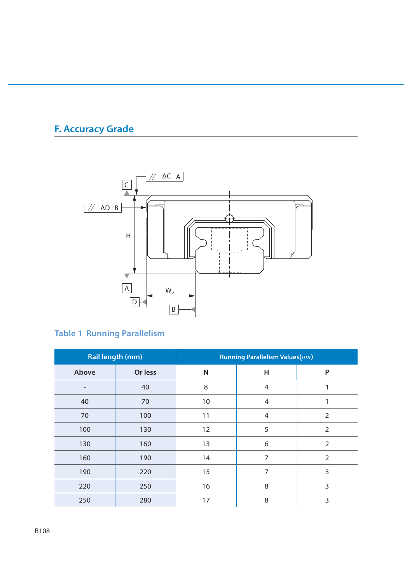# **F. Accuracy Grade**



# **Table 1 Running Parallelism**

| <b>Rail length (mm)</b>  |         | Running Parallelism Values( $\mu$ m) |   |                |  |
|--------------------------|---------|--------------------------------------|---|----------------|--|
| Above                    | Or less | N                                    | н | P              |  |
| $\overline{\phantom{0}}$ | 40      | 8                                    | 4 | 1              |  |
| 40                       | 70      | 10                                   | 4 |                |  |
| 70                       | 100     | 11                                   | 4 | 2              |  |
| 100                      | 130     | 12                                   | 5 | $\overline{2}$ |  |
| 130                      | 160     | 13                                   | 6 | $\overline{2}$ |  |
| 160                      | 190     | 14                                   | 7 | $\overline{2}$ |  |
| 190                      | 220     | 15                                   | 7 | 3              |  |
| 220                      | 250     | 16                                   | 8 | 3              |  |
| 250                      | 280     | 17                                   | 8 | 3              |  |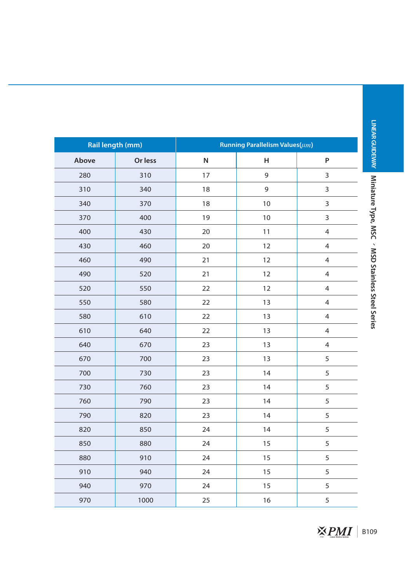| <b>Rail length (mm)</b> |         | Running Parallelism Values( $\mu$ m) |             |                |  |  |
|-------------------------|---------|--------------------------------------|-------------|----------------|--|--|
| Above                   | Or less | $\mathsf{N}$                         | Н           | ${\sf P}$      |  |  |
| 280                     | 310     | 17                                   | $\mathsf 9$ | $\mathsf 3$    |  |  |
| 310                     | 340     | 18                                   | $\mathsf 9$ | $\mathsf 3$    |  |  |
| 340                     | 370     | 18                                   | 10          | $\mathsf 3$    |  |  |
| 370                     | 400     | 19                                   | 10          | $\mathsf 3$    |  |  |
| 400                     | 430     | 20                                   | 11          | $\overline{4}$ |  |  |
| 430                     | 460     | 20                                   | 12          | $\overline{4}$ |  |  |
| 460                     | 490     | 21                                   | 12          | $\overline{4}$ |  |  |
| 490                     | 520     | 21                                   | 12          | $\overline{4}$ |  |  |
| 520                     | 550     | 22                                   | 12          | $\overline{4}$ |  |  |
| 550                     | 580     | 22                                   | 13          | $\overline{4}$ |  |  |
| 580                     | 610     | 22                                   | 13          | $\overline{4}$ |  |  |
| 610                     | 640     | 22                                   | 13          | $\overline{4}$ |  |  |
| 640                     | 670     | 23                                   | 13          | $\overline{4}$ |  |  |
| 670                     | 700     | 23                                   | 13          | 5              |  |  |
| 700                     | 730     | 23                                   | 14          | 5              |  |  |
| 730                     | 760     | 23                                   | 14          | 5              |  |  |
| 760                     | 790     | 23                                   | 14          | 5              |  |  |
| 790                     | 820     | 23                                   | 14          | $\sqrt{5}$     |  |  |
| 820                     | 850     | 24                                   | 14          | 5              |  |  |
| 850                     | 880     | 24                                   | 15          | 5              |  |  |
| 880                     | 910     | 24                                   | 15          | 5              |  |  |
| 910                     | 940     | 24                                   | 15          | 5              |  |  |
| 940                     | 970     | 24                                   | 15          | 5              |  |  |
| 970                     | 1000    | 25                                   | 16          | 5              |  |  |

**LINEAR GUIDEWAY**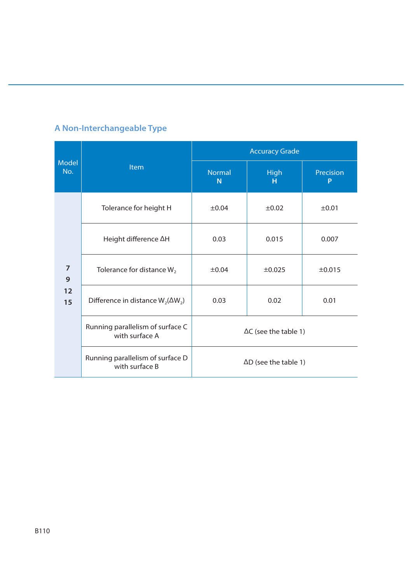|                     |                                                    | <b>Accuracy Grade</b>        |                  |                |  |  |
|---------------------|----------------------------------------------------|------------------------------|------------------|----------------|--|--|
| <b>Model</b><br>No. | Item                                               | <b>Normal</b><br>N           | <b>High</b><br>н | Precision<br>P |  |  |
|                     | Tolerance for height H                             | $\pm 0.04$                   | $\pm 0.02$       | $\pm 0.01$     |  |  |
|                     | Height difference AH                               | 0.03                         | 0.015            | 0.007          |  |  |
| $\overline{7}$<br>9 | Tolerance for distance $W_2$                       | $\pm 0.04$                   | $\pm 0.025$      | ±0.015         |  |  |
| 12<br>15            | Difference in distance $W_2(\Delta W_2)$           | 0.03                         | 0.02             | 0.01           |  |  |
|                     | Running parallelism of surface C<br>with surface A | $\Delta C$ (see the table 1) |                  |                |  |  |
|                     | Running parallelism of surface D<br>with surface B | $\Delta D$ (see the table 1) |                  |                |  |  |

# **A Non-Interchangeable Type**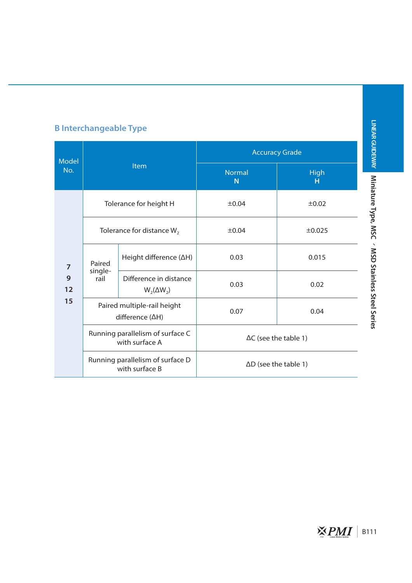# **B Interchangeable Type**

|                | Model<br>Item<br>No.                               |                                                    | <b>Accuracy Grade</b>           |                  |  |
|----------------|----------------------------------------------------|----------------------------------------------------|---------------------------------|------------------|--|
|                |                                                    |                                                    | <b>Normal</b><br>N <sub>1</sub> | <b>High</b><br>н |  |
|                |                                                    | Tolerance for height H                             | $\pm 0.04$                      | $\pm 0.02$       |  |
|                | Tolerance for distance $W_2$                       |                                                    | $\pm 0.04$                      | $\pm 0.025$      |  |
| $\overline{7}$ | Paired                                             | Height difference $(\Delta H)$                     | 0.03                            | 0.015            |  |
| 9<br>12        | single-<br>rail<br>$W_2(\Delta W_2)$               | Difference in distance                             | 0.03                            | 0.02             |  |
| 15             | Paired multiple-rail height<br>difference (ΔH)     |                                                    | 0.07                            | 0.04             |  |
|                | Running parallelism of surface C<br>with surface A |                                                    | $\Delta C$ (see the table 1)    |                  |  |
|                |                                                    | Running parallelism of surface D<br>with surface B | $\Delta D$ (see the table 1)    |                  |  |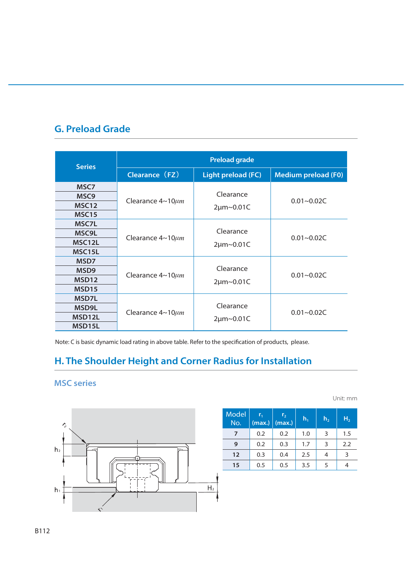### **G. Preload Grade**

| <b>Series</b>       | <b>Preload grade</b>        |                    |                            |  |  |  |
|---------------------|-----------------------------|--------------------|----------------------------|--|--|--|
|                     | Clearance (FZ)              | Light preload (FC) | <b>Medium preload (F0)</b> |  |  |  |
| MSC7                |                             |                    |                            |  |  |  |
| MSC <sub>9</sub>    |                             | Clearance          | $0.01 - 0.02C$             |  |  |  |
| MSC <sub>12</sub>   | Clearance $4{\sim}10\mu m$  | 2µm~0.01C          |                            |  |  |  |
| MSC <sub>15</sub>   |                             |                    |                            |  |  |  |
| MSC7L               |                             |                    |                            |  |  |  |
| MSC9L               | Clearance $4 \sim 10 \mu m$ | Clearance          | $0.01 - 0.02C$             |  |  |  |
| MSC <sub>12</sub> L |                             | 2µm~0.01C          |                            |  |  |  |
| MSC15L              |                             |                    |                            |  |  |  |
| MSD <sub>7</sub>    |                             |                    |                            |  |  |  |
| MSD <sub>9</sub>    | Clearance $4{\sim}10\mu m$  | Clearance          | $0.01 - 0.02C$             |  |  |  |
| MSD <sub>12</sub>   |                             | 2µm~0.01C          |                            |  |  |  |
| MSD <sub>15</sub>   |                             |                    |                            |  |  |  |
| MSD7L               |                             |                    |                            |  |  |  |
| MSD9L               | Clearance $4{\sim}10\mu m$  | Clearance          | $0.01 - 0.02C$             |  |  |  |
| MSD <sub>12</sub> L |                             | 2µm~0.01C          |                            |  |  |  |
| MSD <sub>15</sub> L |                             |                    |                            |  |  |  |

Note: C is basic dynamic load rating in above table. Refer to the specifcation of products, please.

#### **H. The Shoulder Height and Corner Radius for Installation**

#### **MSC series**



| <b>Model</b><br>No. | $r_{1}$<br>(max.) | r <sub>2</sub><br>(max.) | $h_1$ | h <sub>2</sub> | H <sub>2</sub> |
|---------------------|-------------------|--------------------------|-------|----------------|----------------|
| 7                   | 0.2               | 0.2                      | 1.0   | 3              | 1.5            |
| 9                   | 0.2               | 0.3                      | 1.7   | 3              | 2.2            |
| $12 \overline{ }$   | 0.3               | 0.4                      | 2.5   | 4              | З              |
| 15                  | 0.5               | 0.5                      | 3.5   | 5              |                |

Unit: mm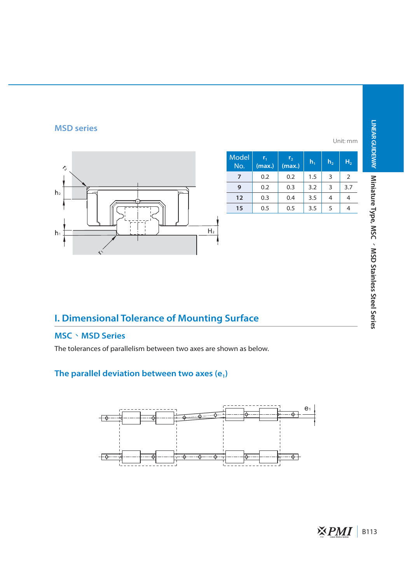# **LINEAR GUIDEWAY**

#### **MSD series**



|              |                   |                          |         |                | Unit: mm       |
|--------------|-------------------|--------------------------|---------|----------------|----------------|
| Model<br>No. | $r_{1}$<br>(max.) | r <sub>2</sub><br>(max.) | $h_{1}$ | h <sub>2</sub> | H <sub>2</sub> |
| 7            | 0.2               | 0.2                      | 1.5     | 3              | 2              |
| 9            | 0.2               | 0.3                      | 3.2     | 3              | 3.7            |
| 12           | 0.3               | 0.4                      | 3.5     | 4              |                |
| 15           | 0.5               | 0.5                      | 3.5     | 5              |                |

# **I. Dimensional Tolerance of Mounting Surface**

#### **MSCȮMSD Series**

The tolerances of parallelism between two axes are shown as below.

#### The parallel deviation between two axes (e<sub>1</sub>)

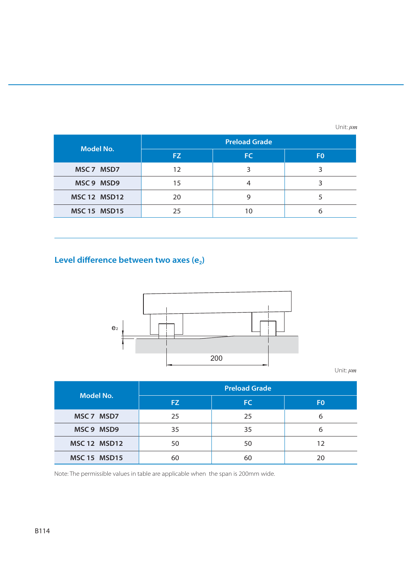Unit:  $\mu$ *m* 

| <b>Model No.</b>    | <b>Preload Grade</b> |     |                |  |  |
|---------------------|----------------------|-----|----------------|--|--|
|                     | FZ.                  | FC. | F <sub>0</sub> |  |  |
| MSC 7 MSD7          | 12                   |     |                |  |  |
| MSC 9 MSD9          | 15                   |     |                |  |  |
| <b>MSC 12 MSD12</b> | 20                   |     |                |  |  |
| <b>MSC 15 MSD15</b> | 25                   |     |                |  |  |

#### Level difference between two axes (e<sub>2</sub>)



Unit:  $\mu$ *m* 

| <b>Model No.</b>    | <b>Preload Grade</b> |     |                |  |  |
|---------------------|----------------------|-----|----------------|--|--|
|                     | FZ.                  | FC. | F <sub>0</sub> |  |  |
| MSC 7 MSD7          | 25                   | 25  | 6              |  |  |
| MSC 9 MSD9          | 35                   | 35  | 6              |  |  |
| <b>MSC 12 MSD12</b> | 50                   | 50  | 12             |  |  |
| <b>MSC 15 MSD15</b> | 60                   | 60  | 20             |  |  |

Note: The permissible values in table are applicable when the span is 200mm wide.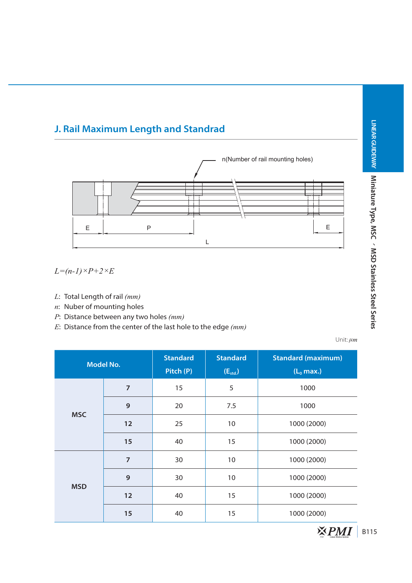# **J. Rail Maximum Length and Standrad**



*L=(n-1)×P+2×E*

- *L*: Total Length of rail *(mm)*
- *n*: Nuber of mounting holes
- *P*: Distance between any two holes *(mm)*
- *E*: Distance from the center of the last hole to the edge *(mm)*

Unit:  $\mu$ *m* 

|            | <b>Model No.</b> | <b>Standard</b><br>Pitch (P) | <b>Standard</b><br>$(E_{std.})$ | <b>Standard (maximum)</b><br>$(L_0$ max.) |
|------------|------------------|------------------------------|---------------------------------|-------------------------------------------|
|            | $\overline{7}$   | 15                           | 5                               | 1000                                      |
| <b>MSC</b> | 9                | 20                           | 7.5                             | 1000                                      |
|            | 12               | 25                           | 10                              | 1000 (2000)                               |
|            | 15               | 40                           | 15                              | 1000 (2000)                               |
|            | $\overline{7}$   | 30                           | 10                              | 1000 (2000)                               |
|            | 9                | 30                           | 10                              | 1000 (2000)                               |
| <b>MSD</b> | 12               | 40                           | 15                              | 1000 (2000)                               |
|            | 15               | 40                           | 15                              | 1000 (2000)                               |

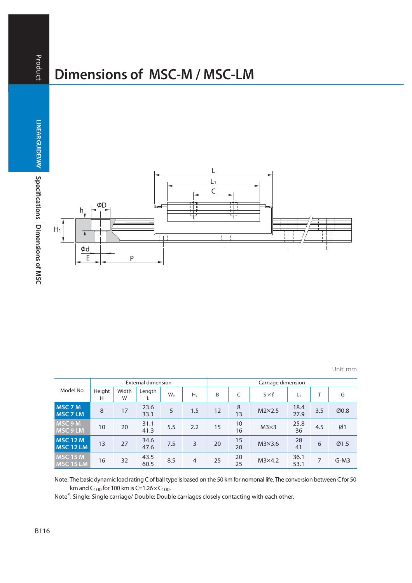# **Dimensions of MSC-M / MSC-LM**

**Product LINEAR GUIDEWAY AUNTS ARRIVED AT A LINEAR GUIDEWAY A Specifications** 

Product

**Dimensions of MSC B116**<br>B116 LINEAR GUIDEWAY Specifications Dimensions of MSC



Unit: mm

| Model No.                            |             |            | <b>External dimension</b> |                |                | Carriage dimension |          |                 |              |     |        |  |  |  |
|--------------------------------------|-------------|------------|---------------------------|----------------|----------------|--------------------|----------|-----------------|--------------|-----|--------|--|--|--|
|                                      | Height<br>Н | Width<br>W | Length                    | W <sub>2</sub> | H <sub>2</sub> | B                  |          | $S \times \ell$ | $L_1$        |     | G      |  |  |  |
| MSC 7 M<br>MSC 7 LM                  | 8           | 17         | 23.6<br>33.1              | 5              | 1.5            | 12                 | 8<br>13  | $M2\times2.5$   | 18.4<br>27.9 | 3.5 | Ø0.8   |  |  |  |
| MSC 9 M<br><b>MSC 9 LM</b>           | 10          | 20         | 31.1<br>41.3              | 5.5            | 2.2            | 15                 | 10<br>16 | $M3\times3$     | 25.8<br>36   | 4.5 | Ø1     |  |  |  |
| <b>MSC 12 M</b><br><b>MSC 12 LM</b>  | 13          | 27         | 34.6<br>47.6              | 7.5            | 3              | 20                 | 15<br>20 | $M3\times3.6$   | 28<br>41     | 6   | Ø1.5   |  |  |  |
| <b>MSC 15 M</b><br><b>IMSC 15 LM</b> | 16          | 32         | 43.5<br>60.5              | 8.5            | $\overline{4}$ | 25                 | 20<br>25 | $M3\times4.2$   | 36.1<br>53.1 | 7   | $G-M3$ |  |  |  |

Note: The basic dynamic load rating C of ball type is based on the 50 km for nomonal life. The conversion between C for 50 km and C<sub>100</sub> for 100 km is C=1.26 x C<sub>100</sub>.

Note\*: Single: Single carriage/ Double: Double carriages closely contacting with each other.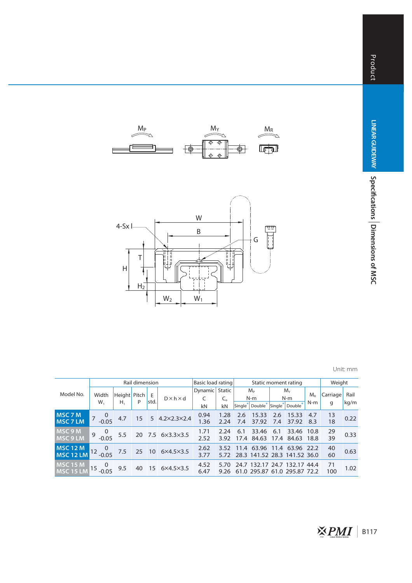

|                                     |                                | Rail dimension |    | Basic load rating |                       |              | Static moment rating | Weight              |                                              |             |                                                              |              |           |      |
|-------------------------------------|--------------------------------|----------------|----|-------------------|-----------------------|--------------|----------------------|---------------------|----------------------------------------------|-------------|--------------------------------------------------------------|--------------|-----------|------|
| Model No.                           | Width                          | Height Pitch   |    | E                 | $D \times h \times d$ | Dynamic      | Static               |                     | M <sub>p</sub><br>N-m<br>Double <sup>*</sup> |             | $M_{\nu}$<br>$N-m$                                           |              | Carriage  | Rail |
|                                     | $W_1$                          | Н,             | P  | std.              |                       | C<br>kN      | C.<br>kN             | Single <sup>*</sup> |                                              |             | Single* Double*                                              | N-m          | g         | kg/m |
| <b>MSC 7 M</b><br><b>MSC 7 LM</b>   | $\overline{0}$<br>$-0.05$      | 4.7            | 15 |                   | 5 4.2×2.3×2.4         | 0.94<br>1.36 | 1.28<br>2.24         | 2.6<br>7.4          | 15.33<br>37.92                               | 2.6<br>7.4  | 15.33<br>37.92                                               | 4.7<br>8.3   | 13<br>18  | 0.22 |
| <b>MSC 9 M</b><br><b>INSC 9 LM</b>  | $\overline{0}$<br>9<br>$-0.05$ | 5.5            |    |                   | 20 7.5 6×3.3×3.5      | 1.71<br>2.52 | 2.24<br>3.92         | 6.1<br>17.4         | 33.46<br>84.63                               | 6.1<br>17.4 | 33.46<br>84.63                                               | 10.8<br>18.8 | 29<br>39  | 0.33 |
| <b>MSC 12 M</b><br><b>MSC 12 LM</b> | $\overline{0}$<br>$-0.05$      | 7.5            | 25 | 10                | $6\times4.5\times3.5$ | 2.62<br>3.77 | 3.52<br>5.72         |                     |                                              |             | 11.4 63.96 11.4 63.96 22.2<br>28.3 141.52 28.3 141.52 36.0   |              | 40<br>60  | 0.63 |
| MSC 15 M                            | 0<br>15                        | 9.5            | 40 |                   | 15 6×4.5×3.5          | 4.52<br>6.47 | 5.70<br>9.26         |                     |                                              |             | 24.7 132.17 24.7 132.17 44.4<br>61.0 295.87 61.0 295.87 72.2 |              | 71<br>100 | 1.02 |

W B

 $M_P$   $M_Y$   $M_R$ 

 $\overline{\mathcal{P}}$ 

G

Ĭ

Ħ

Ź,

 $\overline{\mathbb{F}^n_2}$ 

 $\frac{1}{\phi}$ 

 $W_2$  W<sub>1</sub>

T

 $H_2$ 

H

ᅼ

4-Sx **l**

z

<u>e</u>

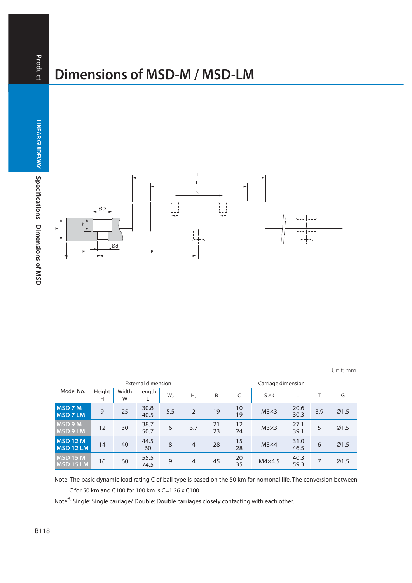# **Dimensions of MSD-M / MSD-LM**

Product

**Dimensions of MSD B118**<br>B118 LINEAR GUIDEWAY Specifications Dimensions of MSD



Unit: mm

| Model No.                         |             |            | <b>External dimension</b> |                |                | Carriage dimension |          |                 |              |     |      |  |  |  |
|-----------------------------------|-------------|------------|---------------------------|----------------|----------------|--------------------|----------|-----------------|--------------|-----|------|--|--|--|
|                                   | Height<br>Н | Width<br>W | Length                    | W <sub>2</sub> | H,             | B                  | C        | $S \times \ell$ | $L_1$        |     | G    |  |  |  |
| MSD 7 M<br><b>MSD7LM</b>          | 9           | 25         | 30.8<br>40.5              | 5.5            | $\overline{2}$ | 19                 | 10<br>19 | $M3\times3$     | 20.6<br>30.3 | 3.9 | Ø1.5 |  |  |  |
| <b>MSD 9 M</b><br><b>MSD 9 LM</b> | 12          | 30         | 38.7<br>50.7              | 6              | 3.7            | 21<br>23           | 12<br>24 | $M3\times3$     | 27.1<br>39.1 | 5   | Ø1.5 |  |  |  |
| <b>MSD 12 M</b><br>MSD 12 LM      | 14          | 40         | 44.5<br>60                | 8              | $\overline{4}$ | 28                 | 15<br>28 | $M3\times4$     | 31.0<br>46.5 | 6   | Ø1.5 |  |  |  |
| MSD 15 M<br><b>MSD 15 LM</b>      | 16          | 60         | 55.5<br>74.5              | 9              | $\overline{4}$ | 45                 | 20<br>35 | $M4\times4.5$   | 40.3<br>59.3 | 7   | Ø1.5 |  |  |  |

Note: The basic dynamic load rating C of ball type is based on the 50 km for nomonal life. The conversion between C for 50 km and C100 for 100 km is C=1.26 x C100.

Note\*: Single: Single carriage/ Double: Double carriages closely contacting with each other.